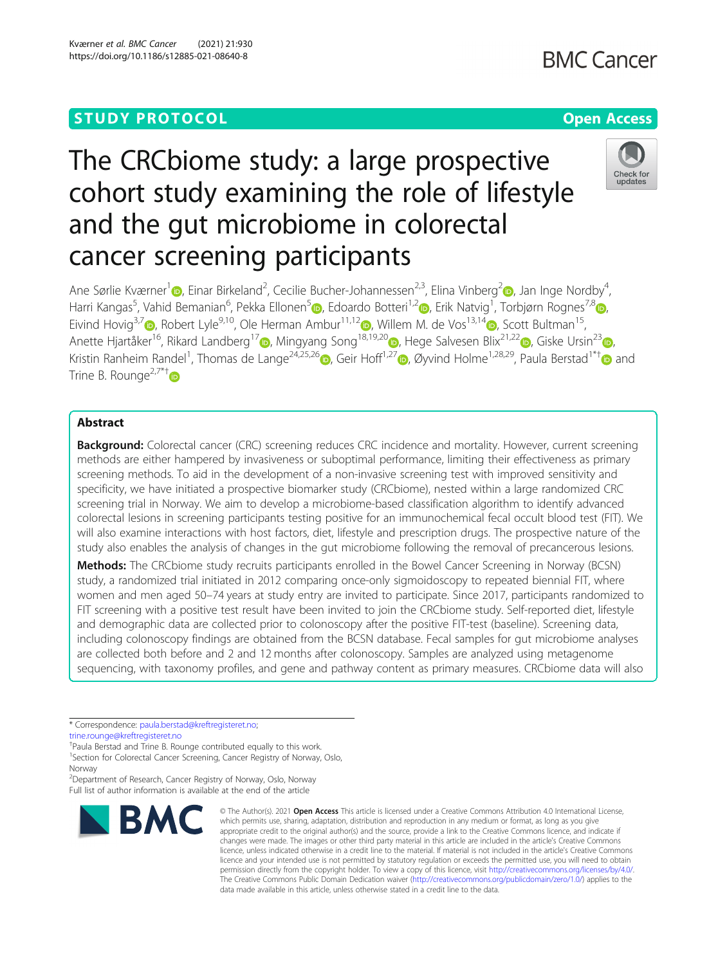Kværner et al. BMC Cancer (2021) 21:930 https://doi.org/10.1186/s12885-021-08640-8

# The CRCbiome study: a large prospective cohort study examining the role of lifestyle and the gut microbiome in colorectal cancer screening participants



Ane Sørlie Kværner<sup>[1](https://orcid.org/0000-0001-6247-7304)</sup> (**p**[,](https://orcid.org/0000-0003-3556-1118) Einar Birkeland<sup>2</sup>, Cecilie Bucher-Johannessen<sup>2,3</sup>, Elina Vinberg<sup>2</sup> (b, Jan Inge Nordby<sup>4</sup> , Harri Kangas<sup>[5](https://orcid.org/0000-0001-6072-0489)</sup>, Vahid Bemanian<sup>6</sup>, Pekka Ellonen<sup>5</sup>®, Edoardo Botteri<sup>1,[2](https://orcid.org/0000-0002-9023-8068)</sup>®[,](https://orcid.org/0000-0002-9329-9974) Erik Natvig<sup>1</sup>, Torbjørn Rognes<sup>7,8</sup>®, Eivind Hovig<sup>3,[7](https://orcid.org/0000-0002-9103-1077)</sup>  $\odot$ , Robert Lyle<sup>9,10</sup>, Ole Herman Ambur<sup>11,1[2](https://orcid.org/0000-0001-9870-6375)</sup> $\odot$ , Willem M. de Vos<sup>13,1[4](https://orcid.org/0000-0002-0273-3166)</sup> $\odot$ , Scott Bultman<sup>15</sup>, Anette Hjartåker<sup>16</sup>[,](https://orcid.org/0000-0002-1324-0316) Rikard Landberg<sup>17</sup> , Mingyang Song<sup>18,19,[2](https://orcid.org/0000-0002-4890-7555)0</sup> , Hege Salvesen Blix<sup>21,22</sup> , Giske Ursin<sup>23</sup> , Kristin Ranheim Randel<sup>1</sup>, Thomas de Lange<sup>24,25,2[6](https://orcid.org/0000-0003-3989-7487)</sup> [,](https://orcid.org/0000-0002-0118-6818) Geir Hoff<sup>1,27</sup> , Øyvind Holme<sup>1,28,29</sup>, Paula Berstad<sup>1\*†</sup> and Trine B. Rounge<sup>2,7\*†</sup>

# Abstract

Background: Colorectal cancer (CRC) screening reduces CRC incidence and mortality. However, current screening methods are either hampered by invasiveness or suboptimal performance, limiting their effectiveness as primary screening methods. To aid in the development of a non-invasive screening test with improved sensitivity and specificity, we have initiated a prospective biomarker study (CRCbiome), nested within a large randomized CRC screening trial in Norway. We aim to develop a microbiome-based classification algorithm to identify advanced colorectal lesions in screening participants testing positive for an immunochemical fecal occult blood test (FIT). We will also examine interactions with host factors, diet, lifestyle and prescription drugs. The prospective nature of the study also enables the analysis of changes in the gut microbiome following the removal of precancerous lesions.

Methods: The CRCbiome study recruits participants enrolled in the Bowel Cancer Screening in Norway (BCSN) study, a randomized trial initiated in 2012 comparing once-only sigmoidoscopy to repeated biennial FIT, where women and men aged 50–74 years at study entry are invited to participate. Since 2017, participants randomized to FIT screening with a positive test result have been invited to join the CRCbiome study. Self-reported diet, lifestyle and demographic data are collected prior to colonoscopy after the positive FIT-test (baseline). Screening data, including colonoscopy findings are obtained from the BCSN database. Fecal samples for gut microbiome analyses are collected both before and 2 and 12 months after colonoscopy. Samples are analyzed using metagenome sequencing, with taxonomy profiles, and gene and pathway content as primary measures. CRCbiome data will also

† Paula Berstad and Trine B. Rounge contributed equally to this work.

<sup>1</sup>Section for Colorectal Cancer Screening, Cancer Registry of Norway, Oslo,

2 Department of Research, Cancer Registry of Norway, Oslo, Norway Full list of author information is available at the end of the article



<sup>©</sup> The Author(s), 2021 **Open Access** This article is licensed under a Creative Commons Attribution 4.0 International License, which permits use, sharing, adaptation, distribution and reproduction in any medium or format, as long as you give appropriate credit to the original author(s) and the source, provide a link to the Creative Commons licence, and indicate if changes were made. The images or other third party material in this article are included in the article's Creative Commons licence, unless indicated otherwise in a credit line to the material. If material is not included in the article's Creative Commons licence and your intended use is not permitted by statutory regulation or exceeds the permitted use, you will need to obtain permission directly from the copyright holder. To view a copy of this licence, visit [http://creativecommons.org/licenses/by/4.0/.](http://creativecommons.org/licenses/by/4.0/) The Creative Commons Public Domain Dedication waiver [\(http://creativecommons.org/publicdomain/zero/1.0/](http://creativecommons.org/publicdomain/zero/1.0/)) applies to the data made available in this article, unless otherwise stated in a credit line to the data.

<sup>\*</sup> Correspondence: [paula.berstad@kreftregisteret.no](mailto:paula.berstad@kreftregisteret.no);

[trine.rounge@kreftregisteret.no](mailto:trine.rounge@kreftregisteret.no)

Norway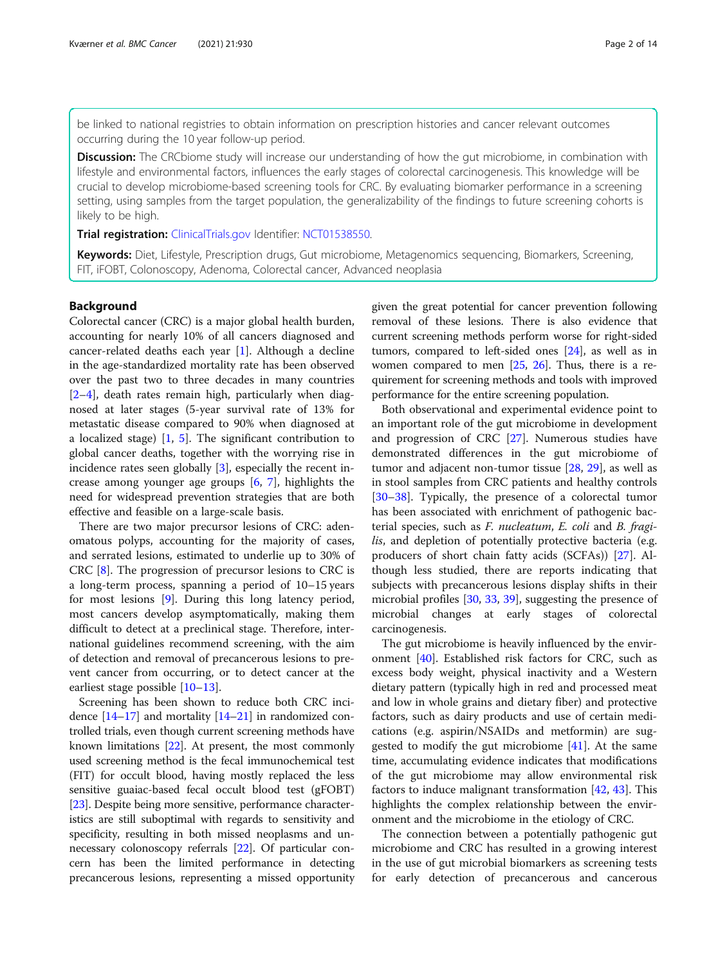be linked to national registries to obtain information on prescription histories and cancer relevant outcomes occurring during the 10 year follow-up period.

**Discussion:** The CRCbiome study will increase our understanding of how the gut microbiome, in combination with lifestyle and environmental factors, influences the early stages of colorectal carcinogenesis. This knowledge will be crucial to develop microbiome-based screening tools for CRC. By evaluating biomarker performance in a screening setting, using samples from the target population, the generalizability of the findings to future screening cohorts is likely to be high.

**Trial registration: [ClinicalTrials.gov](http://clinicaltrials.gov) Identifier: [NCT01538550](https://clinicaltrials.gov/ct2/show/NCT01538550).** 

Keywords: Diet, Lifestyle, Prescription drugs, Gut microbiome, Metagenomics sequencing, Biomarkers, Screening, FIT, iFOBT, Colonoscopy, Adenoma, Colorectal cancer, Advanced neoplasia

#### Background

Colorectal cancer (CRC) is a major global health burden, accounting for nearly 10% of all cancers diagnosed and cancer-related deaths each year [\[1](#page-11-0)]. Although a decline in the age-standardized mortality rate has been observed over the past two to three decades in many countries [[2](#page-11-0)–[4\]](#page-11-0), death rates remain high, particularly when diagnosed at later stages (5-year survival rate of 13% for metastatic disease compared to 90% when diagnosed at a localized stage) [[1](#page-11-0), [5\]](#page-11-0). The significant contribution to global cancer deaths, together with the worrying rise in incidence rates seen globally [[3\]](#page-11-0), especially the recent increase among younger age groups [[6,](#page-11-0) [7](#page-11-0)], highlights the need for widespread prevention strategies that are both effective and feasible on a large-scale basis.

There are two major precursor lesions of CRC: adenomatous polyps, accounting for the majority of cases, and serrated lesions, estimated to underlie up to 30% of CRC [\[8](#page-11-0)]. The progression of precursor lesions to CRC is a long-term process, spanning a period of 10–15 years for most lesions [\[9](#page-11-0)]. During this long latency period, most cancers develop asymptomatically, making them difficult to detect at a preclinical stage. Therefore, international guidelines recommend screening, with the aim of detection and removal of precancerous lesions to prevent cancer from occurring, or to detect cancer at the earliest stage possible [[10](#page-11-0)–[13](#page-12-0)].

Screening has been shown to reduce both CRC incidence [\[14](#page-12-0)–[17\]](#page-12-0) and mortality [[14](#page-12-0)–[21\]](#page-12-0) in randomized controlled trials, even though current screening methods have known limitations [\[22\]](#page-12-0). At present, the most commonly used screening method is the fecal immunochemical test (FIT) for occult blood, having mostly replaced the less sensitive guaiac-based fecal occult blood test (gFOBT) [[23](#page-12-0)]. Despite being more sensitive, performance characteristics are still suboptimal with regards to sensitivity and specificity, resulting in both missed neoplasms and unnecessary colonoscopy referrals [\[22\]](#page-12-0). Of particular concern has been the limited performance in detecting precancerous lesions, representing a missed opportunity

given the great potential for cancer prevention following removal of these lesions. There is also evidence that current screening methods perform worse for right-sided tumors, compared to left-sided ones [\[24\]](#page-12-0), as well as in women compared to men  $[25, 26]$  $[25, 26]$  $[25, 26]$  $[25, 26]$  $[25, 26]$ . Thus, there is a requirement for screening methods and tools with improved performance for the entire screening population.

Both observational and experimental evidence point to an important role of the gut microbiome in development and progression of CRC [\[27\]](#page-12-0). Numerous studies have demonstrated differences in the gut microbiome of tumor and adjacent non-tumor tissue [\[28,](#page-12-0) [29](#page-12-0)], as well as in stool samples from CRC patients and healthy controls [[30](#page-12-0)–[38](#page-12-0)]. Typically, the presence of a colorectal tumor has been associated with enrichment of pathogenic bacterial species, such as F. nucleatum, E. coli and B. fragilis, and depletion of potentially protective bacteria (e.g. producers of short chain fatty acids (SCFAs)) [[27\]](#page-12-0). Although less studied, there are reports indicating that subjects with precancerous lesions display shifts in their microbial profiles [[30](#page-12-0), [33](#page-12-0), [39](#page-12-0)], suggesting the presence of microbial changes at early stages of colorectal carcinogenesis.

The gut microbiome is heavily influenced by the environment [\[40\]](#page-12-0). Established risk factors for CRC, such as excess body weight, physical inactivity and a Western dietary pattern (typically high in red and processed meat and low in whole grains and dietary fiber) and protective factors, such as dairy products and use of certain medications (e.g. aspirin/NSAIDs and metformin) are suggested to modify the gut microbiome [\[41](#page-12-0)]. At the same time, accumulating evidence indicates that modifications of the gut microbiome may allow environmental risk factors to induce malignant transformation [\[42](#page-12-0), [43](#page-12-0)]. This highlights the complex relationship between the environment and the microbiome in the etiology of CRC.

The connection between a potentially pathogenic gut microbiome and CRC has resulted in a growing interest in the use of gut microbial biomarkers as screening tests for early detection of precancerous and cancerous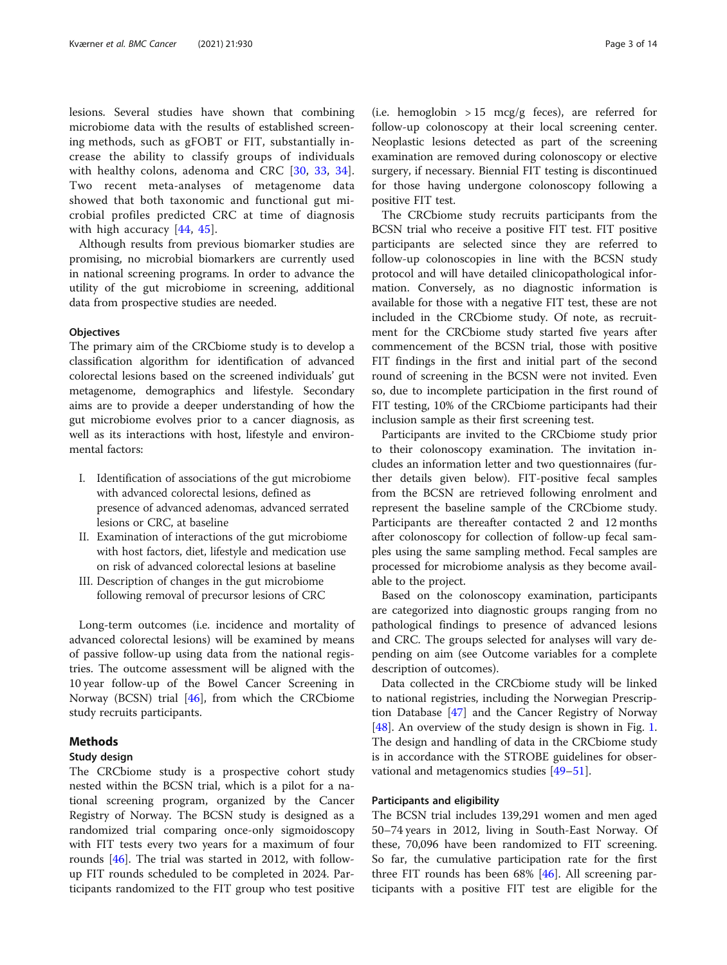lesions. Several studies have shown that combining microbiome data with the results of established screening methods, such as gFOBT or FIT, substantially increase the ability to classify groups of individuals with healthy colons, adenoma and CRC [[30,](#page-12-0) [33,](#page-12-0) [34](#page-12-0)]. Two recent meta-analyses of metagenome data showed that both taxonomic and functional gut microbial profiles predicted CRC at time of diagnosis with high accuracy [[44](#page-12-0), [45\]](#page-12-0).

Although results from previous biomarker studies are promising, no microbial biomarkers are currently used in national screening programs. In order to advance the utility of the gut microbiome in screening, additional data from prospective studies are needed.

#### **Objectives**

The primary aim of the CRCbiome study is to develop a classification algorithm for identification of advanced colorectal lesions based on the screened individuals' gut metagenome, demographics and lifestyle. Secondary aims are to provide a deeper understanding of how the gut microbiome evolves prior to a cancer diagnosis, as well as its interactions with host, lifestyle and environmental factors:

- I. Identification of associations of the gut microbiome with advanced colorectal lesions, defined as presence of advanced adenomas, advanced serrated lesions or CRC, at baseline
- II. Examination of interactions of the gut microbiome with host factors, diet, lifestyle and medication use on risk of advanced colorectal lesions at baseline
- III. Description of changes in the gut microbiome following removal of precursor lesions of CRC

Long-term outcomes (i.e. incidence and mortality of advanced colorectal lesions) will be examined by means of passive follow-up using data from the national registries. The outcome assessment will be aligned with the 10 year follow-up of the Bowel Cancer Screening in Norway (BCSN) trial [\[46\]](#page-12-0), from which the CRCbiome study recruits participants.

#### Methods

#### Study design

The CRCbiome study is a prospective cohort study nested within the BCSN trial, which is a pilot for a national screening program, organized by the Cancer Registry of Norway. The BCSN study is designed as a randomized trial comparing once-only sigmoidoscopy with FIT tests every two years for a maximum of four rounds [\[46](#page-12-0)]. The trial was started in 2012, with followup FIT rounds scheduled to be completed in 2024. Participants randomized to the FIT group who test positive

(i.e. hemoglobin  $> 15$  mcg/g feces), are referred for follow-up colonoscopy at their local screening center. Neoplastic lesions detected as part of the screening examination are removed during colonoscopy or elective surgery, if necessary. Biennial FIT testing is discontinued for those having undergone colonoscopy following a positive FIT test.

The CRCbiome study recruits participants from the BCSN trial who receive a positive FIT test. FIT positive participants are selected since they are referred to follow-up colonoscopies in line with the BCSN study protocol and will have detailed clinicopathological information. Conversely, as no diagnostic information is available for those with a negative FIT test, these are not included in the CRCbiome study. Of note, as recruitment for the CRCbiome study started five years after commencement of the BCSN trial, those with positive FIT findings in the first and initial part of the second round of screening in the BCSN were not invited. Even so, due to incomplete participation in the first round of FIT testing, 10% of the CRCbiome participants had their inclusion sample as their first screening test.

Participants are invited to the CRCbiome study prior to their colonoscopy examination. The invitation includes an information letter and two questionnaires (further details given below). FIT-positive fecal samples from the BCSN are retrieved following enrolment and represent the baseline sample of the CRCbiome study. Participants are thereafter contacted 2 and 12 months after colonoscopy for collection of follow-up fecal samples using the same sampling method. Fecal samples are processed for microbiome analysis as they become available to the project.

Based on the colonoscopy examination, participants are categorized into diagnostic groups ranging from no pathological findings to presence of advanced lesions and CRC. The groups selected for analyses will vary depending on aim (see Outcome variables for a complete description of outcomes).

Data collected in the CRCbiome study will be linked to national registries, including the Norwegian Prescription Database [[47\]](#page-12-0) and the Cancer Registry of Norway [[48\]](#page-12-0). An overview of the study design is shown in Fig. [1](#page-3-0). The design and handling of data in the CRCbiome study is in accordance with the STROBE guidelines for observational and metagenomics studies [[49](#page-12-0)–[51](#page-12-0)].

#### Participants and eligibility

The BCSN trial includes 139,291 women and men aged 50–74 years in 2012, living in South-East Norway. Of these, 70,096 have been randomized to FIT screening. So far, the cumulative participation rate for the first three FIT rounds has been 68% [\[46](#page-12-0)]. All screening participants with a positive FIT test are eligible for the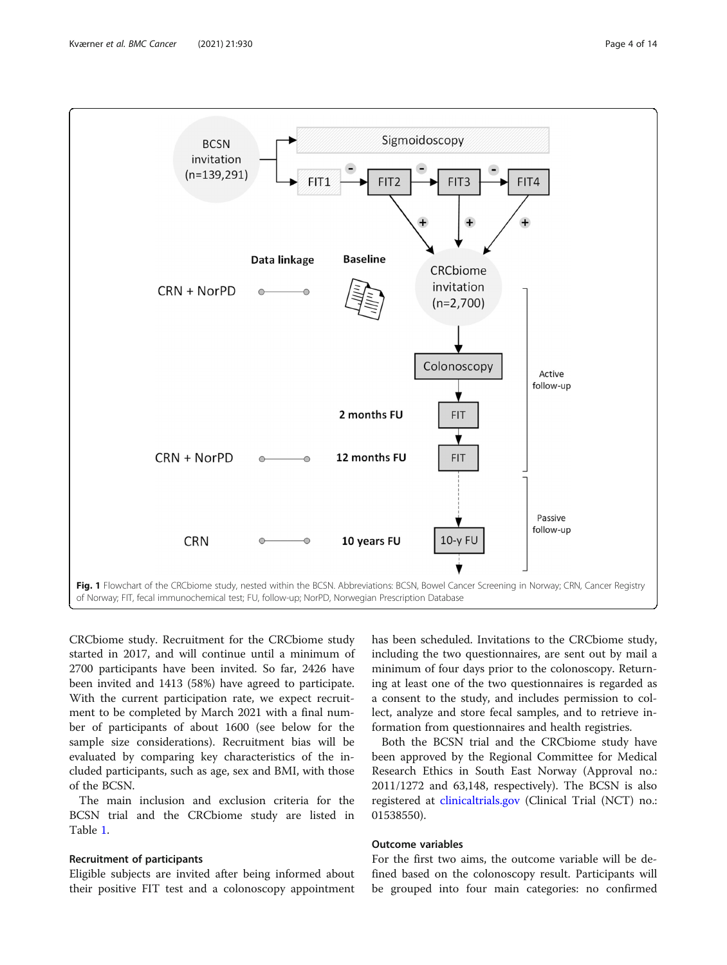<span id="page-3-0"></span>

CRCbiome study. Recruitment for the CRCbiome study started in 2017, and will continue until a minimum of 2700 participants have been invited. So far, 2426 have been invited and 1413 (58%) have agreed to participate. With the current participation rate, we expect recruitment to be completed by March 2021 with a final number of participants of about 1600 (see below for the sample size considerations). Recruitment bias will be evaluated by comparing key characteristics of the included participants, such as age, sex and BMI, with those of the BCSN.

The main inclusion and exclusion criteria for the BCSN trial and the CRCbiome study are listed in Table [1.](#page-4-0)

# Recruitment of participants

Eligible subjects are invited after being informed about their positive FIT test and a colonoscopy appointment has been scheduled. Invitations to the CRCbiome study, including the two questionnaires, are sent out by mail a minimum of four days prior to the colonoscopy. Returning at least one of the two questionnaires is regarded as a consent to the study, and includes permission to collect, analyze and store fecal samples, and to retrieve information from questionnaires and health registries.

Both the BCSN trial and the CRCbiome study have been approved by the Regional Committee for Medical Research Ethics in South East Norway (Approval no.: 2011/1272 and 63,148, respectively). The BCSN is also registered at [clinicaltrials.gov](http://clinicaltrials.gov) (Clinical Trial (NCT) no.: 01538550).

# Outcome variables

For the first two aims, the outcome variable will be defined based on the colonoscopy result. Participants will be grouped into four main categories: no confirmed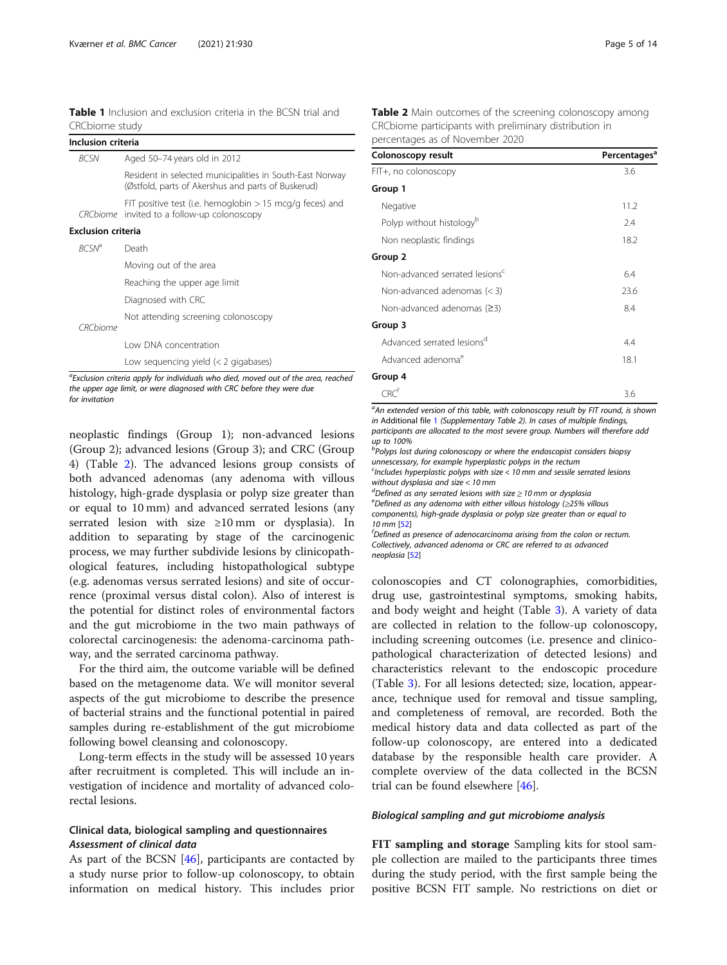<span id="page-4-0"></span>

| Inclusion criteria        |                                                                                                                |
|---------------------------|----------------------------------------------------------------------------------------------------------------|
| <b>BCSN</b>               | Aged 50-74 years old in 2012                                                                                   |
|                           | Resident in selected municipalities in South-East Norway<br>(Østfold, parts of Akershus and parts of Buskerud) |
|                           | FIT positive test (i.e. hemoglobin $> 15$ mcg/g feces) and<br>CRCbiome invited to a follow-up colonoscopy      |
| <b>Exclusion criteria</b> |                                                                                                                |
| <b>BCSN<sup>a</sup></b>   | Death                                                                                                          |
|                           | Moving out of the area                                                                                         |
|                           | Reaching the upper age limit                                                                                   |
|                           | Diagnosed with CRC                                                                                             |
| <i>CRC biome</i>          | Not attending screening colonoscopy                                                                            |
|                           | I ow DNA concentration                                                                                         |
|                           | Low sequencing yield $(<$ 2 gigabases)                                                                         |

<sup>a</sup>Exclusion criteria apply for individuals who died, moved out of the area, reached the upper age limit, or were diagnosed with CRC before they were due for invitation

neoplastic findings (Group 1); non-advanced lesions (Group 2); advanced lesions (Group 3); and CRC (Group 4) (Table 2). The advanced lesions group consists of both advanced adenomas (any adenoma with villous histology, high-grade dysplasia or polyp size greater than or equal to 10 mm) and advanced serrated lesions (any serrated lesion with size ≥10 mm or dysplasia). In addition to separating by stage of the carcinogenic process, we may further subdivide lesions by clinicopathological features, including histopathological subtype (e.g. adenomas versus serrated lesions) and site of occurrence (proximal versus distal colon). Also of interest is the potential for distinct roles of environmental factors and the gut microbiome in the two main pathways of colorectal carcinogenesis: the adenoma-carcinoma pathway, and the serrated carcinoma pathway.

For the third aim, the outcome variable will be defined based on the metagenome data. We will monitor several aspects of the gut microbiome to describe the presence of bacterial strains and the functional potential in paired samples during re-establishment of the gut microbiome following bowel cleansing and colonoscopy.

Long-term effects in the study will be assessed 10 years after recruitment is completed. This will include an investigation of incidence and mortality of advanced colorectal lesions.

# Clinical data, biological sampling and questionnaires Assessment of clinical data

As part of the BCSN [\[46](#page-12-0)], participants are contacted by a study nurse prior to follow-up colonoscopy, to obtain information on medical history. This includes prior

| Table 2 Main outcomes of the screening colonoscopy among |
|----------------------------------------------------------|
| CRCbiome participants with preliminary distribution in   |
| percentages as of November 2020                          |

| Colonoscopy result                         | Percentages <sup>a</sup> |
|--------------------------------------------|--------------------------|
| FIT+, no colonoscopy                       | 3.6                      |
| Group 1                                    |                          |
| Negative                                   | 11.2                     |
| Polyp without histology <sup>b</sup>       | 2.4                      |
| Non neoplastic findings                    | 18.2                     |
| Group 2                                    |                          |
| Non-advanced serrated lesions <sup>c</sup> | 6.4                      |
| Non-advanced adenomas $(<$ 3)              | 23.6                     |
| Non-advanced adenomas $(23)$               | 8.4                      |
| Group 3                                    |                          |
| Advanced serrated lesions <sup>d</sup>     | 4.4                      |
| Advanced adenoma <sup>e</sup>              | 18.1                     |
| Group 4                                    |                          |
| CRC'                                       | 3.6                      |

<sup>a</sup>An extended version of this table, with colonoscopy result by FIT round, is shown in Additional file [1](#page-11-0) (Supplementary Table 2). In cases of multiple findings, participants are allocated to the most severe group. Numbers will therefore add up to 100%

<sup>b</sup>Polyps lost during colonoscopy or where the endoscopist considers biopsy unnescessary, for example hyperplastic polyps in the rectum

<sup>c</sup>Includes hyperplastic polyps with size < 10 mm and sessile serrated lesions without dysplasia and size < 10 mm

<sup>d</sup>Defined as any serrated lesions with size ≥ 10 mm or dysplasia<br>
intervalsed as any adoption with either villous histology (>25% w

 $e^e$ Defined as any adenoma with either villous histology ( $\geq$ 25% villous components), high-grade dysplasia or polyp size greater than or equal to 10 mm [\[52](#page-12-0)]

 ${}^{\text{f}}$ Defined as presence of adenocarcinoma arisina from the colon or rectum. Collectively, advanced adenoma or CRC are referred to as advanced neoplasia [[52](#page-12-0)]

colonoscopies and CT colonographies, comorbidities, drug use, gastrointestinal symptoms, smoking habits, and body weight and height (Table [3\)](#page-5-0). A variety of data are collected in relation to the follow-up colonoscopy, including screening outcomes (i.e. presence and clinicopathological characterization of detected lesions) and characteristics relevant to the endoscopic procedure (Table [3](#page-5-0)). For all lesions detected; size, location, appearance, technique used for removal and tissue sampling, and completeness of removal, are recorded. Both the medical history data and data collected as part of the follow-up colonoscopy, are entered into a dedicated database by the responsible health care provider. A complete overview of the data collected in the BCSN trial can be found elsewhere [\[46](#page-12-0)].

#### Biological sampling and gut microbiome analysis

FIT sampling and storage Sampling kits for stool sample collection are mailed to the participants three times during the study period, with the first sample being the positive BCSN FIT sample. No restrictions on diet or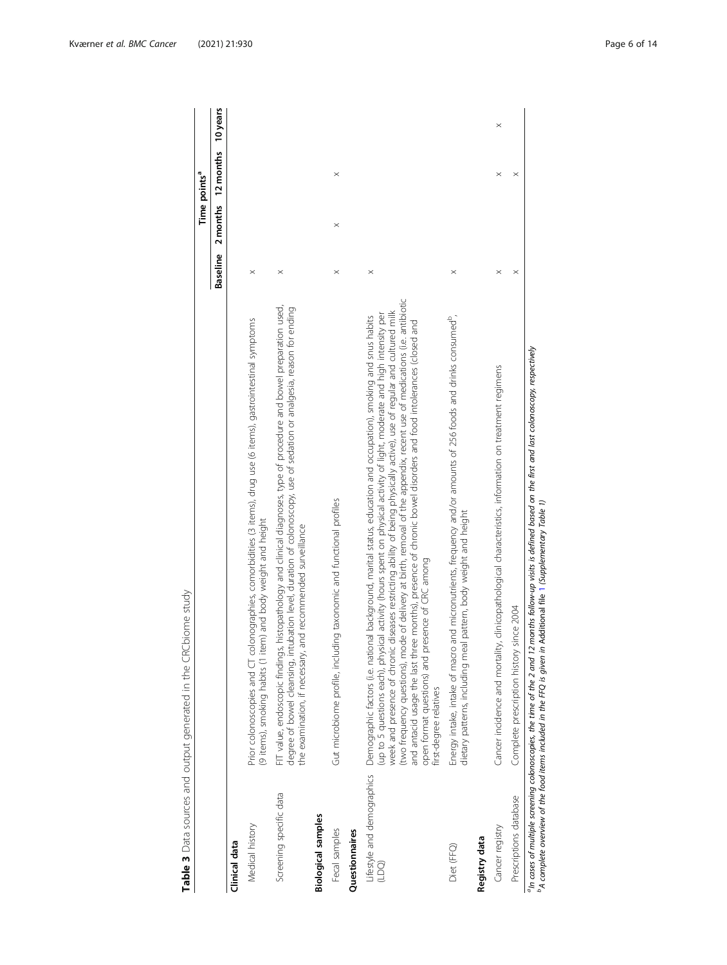|                                     | Table 3 Data sources and output generated in the CRCbiome study                                                                                                                                                                                                                                                                                                                                                                                                                                                                                                                                                                                                                                           |                 |          |                          |          |
|-------------------------------------|-----------------------------------------------------------------------------------------------------------------------------------------------------------------------------------------------------------------------------------------------------------------------------------------------------------------------------------------------------------------------------------------------------------------------------------------------------------------------------------------------------------------------------------------------------------------------------------------------------------------------------------------------------------------------------------------------------------|-----------------|----------|--------------------------|----------|
|                                     |                                                                                                                                                                                                                                                                                                                                                                                                                                                                                                                                                                                                                                                                                                           |                 |          | Time points <sup>a</sup> |          |
|                                     |                                                                                                                                                                                                                                                                                                                                                                                                                                                                                                                                                                                                                                                                                                           | <b>Baseline</b> | 2 months | 12 months                | 10 years |
| Clinical data                       |                                                                                                                                                                                                                                                                                                                                                                                                                                                                                                                                                                                                                                                                                                           |                 |          |                          |          |
| Medical history                     | Prior colonoscopies and CT colonographies, comorbidities (3 items), drug use (6 items), gastrointestinal symptoms<br>(9 items), smoking habits (1 item) and body weight and height                                                                                                                                                                                                                                                                                                                                                                                                                                                                                                                        | $\times$        |          |                          |          |
| Screening specific data             | FIT value, endoscopic findings, histopathology and clinical diagnoses, type of procedure and bowel preparation used,<br>degree of bowel cleansing, intubation level, duration of colonoscopy, use of sedation or analgesia, reason for ending<br>and recommended surveillance<br>the examination, if necessary,                                                                                                                                                                                                                                                                                                                                                                                           | $\times$        |          |                          |          |
| <b>Biological samples</b>           |                                                                                                                                                                                                                                                                                                                                                                                                                                                                                                                                                                                                                                                                                                           |                 |          |                          |          |
| Fecal samples                       | Gut microbiome profile, including taxonomic and functional profiles                                                                                                                                                                                                                                                                                                                                                                                                                                                                                                                                                                                                                                       | $\times$        | $\times$ | $\times$                 |          |
| Questionnaires                      |                                                                                                                                                                                                                                                                                                                                                                                                                                                                                                                                                                                                                                                                                                           |                 |          |                          |          |
| Lifestyle and demographics<br>(1DQ) | two frequency questions), mode of delivery at birth, removal of the appendix, recent use of medications (i.e. antibiotic<br>week and presence of chronic diseases restricting ability of being physically active), use of regular and cultured milk<br>(up to 5 questions each), physical activity (hours spent on physical activity of light, moderate and high intensity per<br>Demographic factors (i.e. national background, marital status, education and occupation), smoking and snus habits<br>ree months), presence of chronic bowel disorders and food intolerances (closed and<br>open format questions) and presence of CRC among<br>and antacid usage the last thi<br>first-degree relatives | $\times$        |          |                          |          |
| Diet (FFQ)                          | Energy intake, intake of macro and micronutrients, frequency and/or amounts of 256 foods and drinks consumed <sup>e</sup> ,<br>dietary patterns, including meal pattern, body weight and height                                                                                                                                                                                                                                                                                                                                                                                                                                                                                                           | $\times$        |          |                          |          |
| Registry data                       |                                                                                                                                                                                                                                                                                                                                                                                                                                                                                                                                                                                                                                                                                                           |                 |          |                          |          |
| Cancer registry                     | Cancer incidence and mortality, clinicopathological characteristics, information on treatment regimens                                                                                                                                                                                                                                                                                                                                                                                                                                                                                                                                                                                                    |                 |          | $\times$                 | $\times$ |
| Prescriptions database              | since 2004<br>Complete prescription history                                                                                                                                                                                                                                                                                                                                                                                                                                                                                                                                                                                                                                                               | $\times$        |          |                          |          |
|                                     | <sup>a</sup> In cases of multiple screening colonoscopies, the time of the 2 and 12 months follow-up visits is defined based on the first and last colonoscopy, respectively<br><sup>b</sup> A complete overview of the food items included in the FFQ is given in Additional file 1 (Supplementary Table 1)                                                                                                                                                                                                                                                                                                                                                                                              |                 |          |                          |          |

<span id="page-5-0"></span>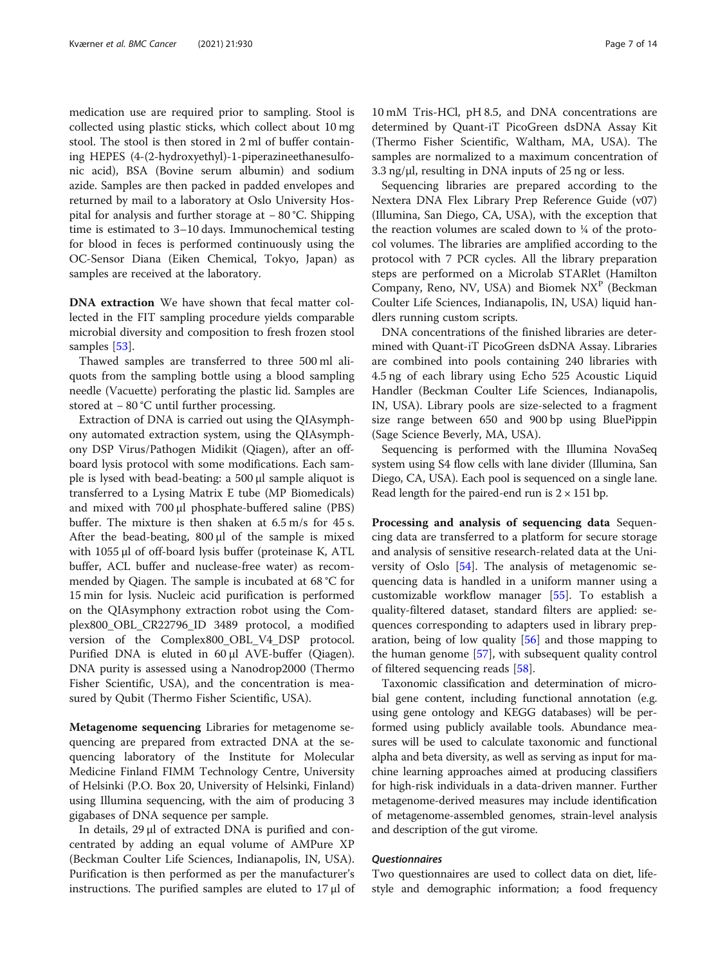medication use are required prior to sampling. Stool is collected using plastic sticks, which collect about 10 mg stool. The stool is then stored in 2 ml of buffer containing HEPES (4-(2-hydroxyethyl)-1-piperazineethanesulfonic acid), BSA (Bovine serum albumin) and sodium azide. Samples are then packed in padded envelopes and returned by mail to a laboratory at Oslo University Hospital for analysis and further storage at − 80 °C. Shipping time is estimated to 3–10 days. Immunochemical testing for blood in feces is performed continuously using the OC-Sensor Diana (Eiken Chemical, Tokyo, Japan) as samples are received at the laboratory.

DNA extraction We have shown that fecal matter collected in the FIT sampling procedure yields comparable microbial diversity and composition to fresh frozen stool samples [\[53\]](#page-13-0).

Thawed samples are transferred to three 500 ml aliquots from the sampling bottle using a blood sampling needle (Vacuette) perforating the plastic lid. Samples are stored at − 80 °C until further processing.

Extraction of DNA is carried out using the QIAsymphony automated extraction system, using the QIAsymphony DSP Virus/Pathogen Midikit (Qiagen), after an offboard lysis protocol with some modifications. Each sample is lysed with bead-beating: a 500 μl sample aliquot is transferred to a Lysing Matrix E tube (MP Biomedicals) and mixed with 700 μl phosphate-buffered saline (PBS) buffer. The mixture is then shaken at 6.5 m/s for 45 s. After the bead-beating,  $800 \mu l$  of the sample is mixed with 1055 μl of off-board lysis buffer (proteinase K, ATL buffer, ACL buffer and nuclease-free water) as recommended by Qiagen. The sample is incubated at 68 °C for 15 min for lysis. Nucleic acid purification is performed on the QIAsymphony extraction robot using the Complex800\_OBL\_CR22796\_ID 3489 protocol, a modified version of the Complex800\_OBL\_V4\_DSP protocol. Purified DNA is eluted in 60 μl AVE-buffer (Qiagen). DNA purity is assessed using a Nanodrop2000 (Thermo Fisher Scientific, USA), and the concentration is measured by Qubit (Thermo Fisher Scientific, USA).

Metagenome sequencing Libraries for metagenome sequencing are prepared from extracted DNA at the sequencing laboratory of the Institute for Molecular Medicine Finland FIMM Technology Centre, University of Helsinki (P.O. Box 20, University of Helsinki, Finland) using Illumina sequencing, with the aim of producing 3 gigabases of DNA sequence per sample.

In details, 29 μl of extracted DNA is purified and concentrated by adding an equal volume of AMPure XP (Beckman Coulter Life Sciences, Indianapolis, IN, USA). Purification is then performed as per the manufacturer's instructions. The purified samples are eluted to 17 μl of 10 mM Tris-HCl, pH 8.5, and DNA concentrations are determined by Quant-iT PicoGreen dsDNA Assay Kit (Thermo Fisher Scientific, Waltham, MA, USA). The samples are normalized to a maximum concentration of 3.3 ng/μl, resulting in DNA inputs of 25 ng or less.

Sequencing libraries are prepared according to the Nextera DNA Flex Library Prep Reference Guide (v07) (Illumina, San Diego, CA, USA), with the exception that the reaction volumes are scaled down to  $\frac{1}{4}$  of the protocol volumes. The libraries are amplified according to the protocol with 7 PCR cycles. All the library preparation steps are performed on a Microlab STARlet (Hamilton Company, Reno, NV, USA) and Biomek NX<sup>P</sup> (Beckman Coulter Life Sciences, Indianapolis, IN, USA) liquid handlers running custom scripts.

DNA concentrations of the finished libraries are determined with Quant-iT PicoGreen dsDNA Assay. Libraries are combined into pools containing 240 libraries with 4.5 ng of each library using Echo 525 Acoustic Liquid Handler (Beckman Coulter Life Sciences, Indianapolis, IN, USA). Library pools are size-selected to a fragment size range between 650 and 900 bp using BluePippin (Sage Science Beverly, MA, USA).

Sequencing is performed with the Illumina NovaSeq system using S4 flow cells with lane divider (Illumina, San Diego, CA, USA). Each pool is sequenced on a single lane. Read length for the paired-end run is  $2 \times 151$  bp.

Processing and analysis of sequencing data Sequencing data are transferred to a platform for secure storage and analysis of sensitive research-related data at the University of Oslo [\[54](#page-13-0)]. The analysis of metagenomic sequencing data is handled in a uniform manner using a customizable workflow manager [\[55](#page-13-0)]. To establish a quality-filtered dataset, standard filters are applied: sequences corresponding to adapters used in library preparation, being of low quality [[56\]](#page-13-0) and those mapping to the human genome [[57](#page-13-0)], with subsequent quality control of filtered sequencing reads [[58](#page-13-0)].

Taxonomic classification and determination of microbial gene content, including functional annotation (e.g. using gene ontology and KEGG databases) will be performed using publicly available tools. Abundance measures will be used to calculate taxonomic and functional alpha and beta diversity, as well as serving as input for machine learning approaches aimed at producing classifiers for high-risk individuals in a data-driven manner. Further metagenome-derived measures may include identification of metagenome-assembled genomes, strain-level analysis and description of the gut virome.

#### Questionnaires

Two questionnaires are used to collect data on diet, lifestyle and demographic information; a food frequency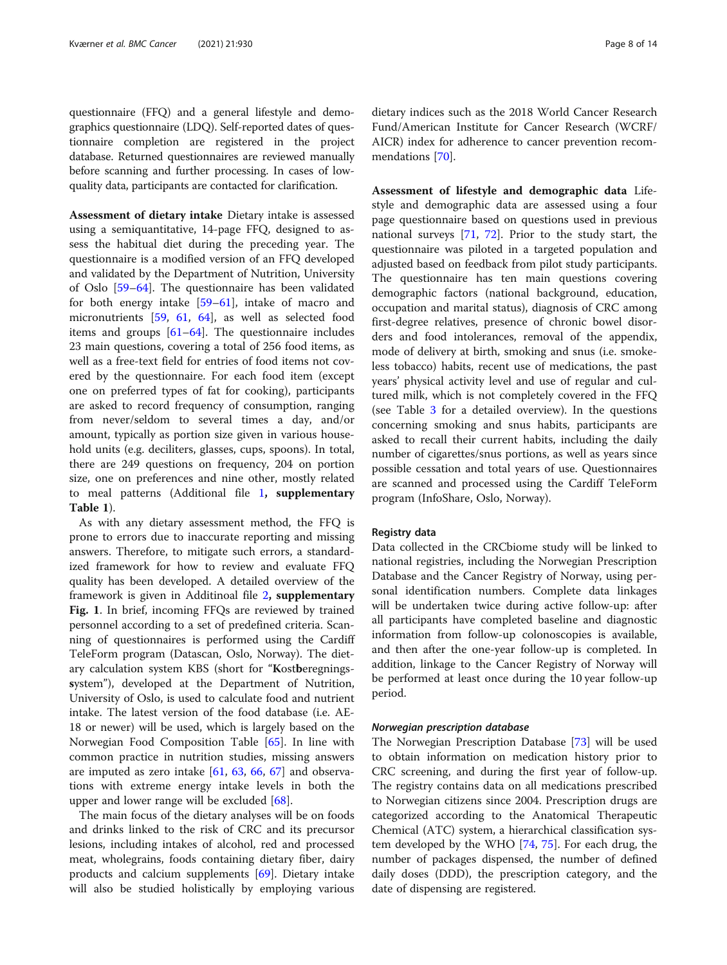questionnaire (FFQ) and a general lifestyle and demographics questionnaire (LDQ). Self-reported dates of questionnaire completion are registered in the project database. Returned questionnaires are reviewed manually before scanning and further processing. In cases of lowquality data, participants are contacted for clarification.

Assessment of dietary intake Dietary intake is assessed using a semiquantitative, 14-page FFQ, designed to assess the habitual diet during the preceding year. The questionnaire is a modified version of an FFQ developed and validated by the Department of Nutrition, University of Oslo [\[59](#page-13-0)–[64\]](#page-13-0). The questionnaire has been validated for both energy intake [\[59](#page-13-0)–[61\]](#page-13-0), intake of macro and micronutrients [[59](#page-13-0), [61](#page-13-0), [64](#page-13-0)], as well as selected food items and groups [[61](#page-13-0)–[64](#page-13-0)]. The questionnaire includes 23 main questions, covering a total of 256 food items, as well as a free-text field for entries of food items not covered by the questionnaire. For each food item (except one on preferred types of fat for cooking), participants are asked to record frequency of consumption, ranging from never/seldom to several times a day, and/or amount, typically as portion size given in various household units (e.g. deciliters, glasses, cups, spoons). In total, there are 249 questions on frequency, 204 on portion size, one on preferences and nine other, mostly related to meal patterns (Additional file [1](#page-11-0), supplementary Table 1).

As with any dietary assessment method, the FFQ is prone to errors due to inaccurate reporting and missing answers. Therefore, to mitigate such errors, a standardized framework for how to review and evaluate FFQ quality has been developed. A detailed overview of the framework is given in Additinoal file [2](#page-11-0), supplementary Fig. 1. In brief, incoming FFQs are reviewed by trained personnel according to a set of predefined criteria. Scanning of questionnaires is performed using the Cardiff TeleForm program (Datascan, Oslo, Norway). The dietary calculation system KBS (short for "Kostberegningssystem"), developed at the Department of Nutrition, University of Oslo, is used to calculate food and nutrient intake. The latest version of the food database (i.e. AE-18 or newer) will be used, which is largely based on the Norwegian Food Composition Table [[65\]](#page-13-0). In line with common practice in nutrition studies, missing answers are imputed as zero intake  $[61, 63, 66, 67]$  $[61, 63, 66, 67]$  $[61, 63, 66, 67]$  $[61, 63, 66, 67]$  $[61, 63, 66, 67]$  $[61, 63, 66, 67]$  $[61, 63, 66, 67]$  $[61, 63, 66, 67]$  and observations with extreme energy intake levels in both the upper and lower range will be excluded [[68\]](#page-13-0).

The main focus of the dietary analyses will be on foods and drinks linked to the risk of CRC and its precursor lesions, including intakes of alcohol, red and processed meat, wholegrains, foods containing dietary fiber, dairy products and calcium supplements [[69\]](#page-13-0). Dietary intake will also be studied holistically by employing various

dietary indices such as the 2018 World Cancer Research Fund/American Institute for Cancer Research (WCRF/ AICR) index for adherence to cancer prevention recommendations [\[70](#page-13-0)].

Assessment of lifestyle and demographic data Lifestyle and demographic data are assessed using a four page questionnaire based on questions used in previous national surveys [[71](#page-13-0), [72](#page-13-0)]. Prior to the study start, the questionnaire was piloted in a targeted population and adjusted based on feedback from pilot study participants. The questionnaire has ten main questions covering demographic factors (national background, education, occupation and marital status), diagnosis of CRC among first-degree relatives, presence of chronic bowel disorders and food intolerances, removal of the appendix, mode of delivery at birth, smoking and snus (i.e. smokeless tobacco) habits, recent use of medications, the past years' physical activity level and use of regular and cultured milk, which is not completely covered in the FFQ (see Table [3](#page-5-0) for a detailed overview). In the questions concerning smoking and snus habits, participants are asked to recall their current habits, including the daily number of cigarettes/snus portions, as well as years since possible cessation and total years of use. Questionnaires are scanned and processed using the Cardiff TeleForm program (InfoShare, Oslo, Norway).

#### Registry data

Data collected in the CRCbiome study will be linked to national registries, including the Norwegian Prescription Database and the Cancer Registry of Norway, using personal identification numbers. Complete data linkages will be undertaken twice during active follow-up: after all participants have completed baseline and diagnostic information from follow-up colonoscopies is available, and then after the one-year follow-up is completed. In addition, linkage to the Cancer Registry of Norway will be performed at least once during the 10 year follow-up period.

#### Norwegian prescription database

The Norwegian Prescription Database [[73\]](#page-13-0) will be used to obtain information on medication history prior to CRC screening, and during the first year of follow-up. The registry contains data on all medications prescribed to Norwegian citizens since 2004. Prescription drugs are categorized according to the Anatomical Therapeutic Chemical (ATC) system, a hierarchical classification system developed by the WHO [[74](#page-13-0), [75\]](#page-13-0). For each drug, the number of packages dispensed, the number of defined daily doses (DDD), the prescription category, and the date of dispensing are registered.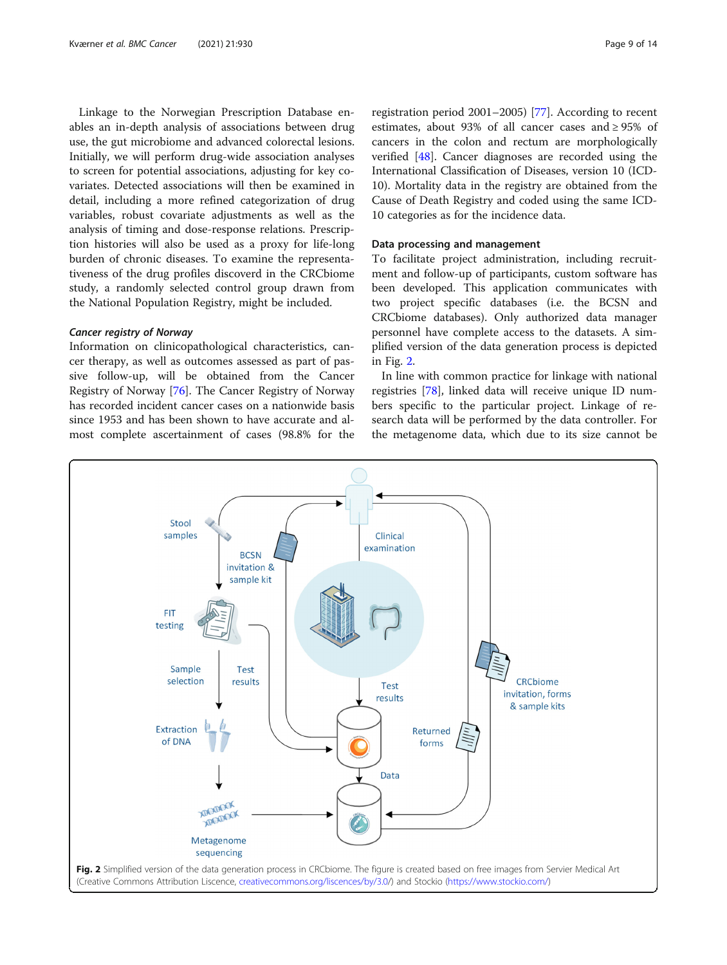Linkage to the Norwegian Prescription Database enables an in-depth analysis of associations between drug use, the gut microbiome and advanced colorectal lesions. Initially, we will perform drug-wide association analyses to screen for potential associations, adjusting for key covariates. Detected associations will then be examined in detail, including a more refined categorization of drug variables, robust covariate adjustments as well as the analysis of timing and dose-response relations. Prescription histories will also be used as a proxy for life-long burden of chronic diseases. To examine the representativeness of the drug profiles discoverd in the CRCbiome study, a randomly selected control group drawn from the National Population Registry, might be included.

#### Cancer registry of Norway

Information on clinicopathological characteristics, cancer therapy, as well as outcomes assessed as part of passive follow-up, will be obtained from the Cancer Registry of Norway [[76\]](#page-13-0). The Cancer Registry of Norway has recorded incident cancer cases on a nationwide basis since 1953 and has been shown to have accurate and almost complete ascertainment of cases (98.8% for the

registration period 2001–2005) [\[77\]](#page-13-0). According to recent estimates, about 93% of all cancer cases and ≥ 95% of cancers in the colon and rectum are morphologically verified [[48\]](#page-12-0). Cancer diagnoses are recorded using the International Classification of Diseases, version 10 (ICD-10). Mortality data in the registry are obtained from the Cause of Death Registry and coded using the same ICD-10 categories as for the incidence data.

# Data processing and management

To facilitate project administration, including recruitment and follow-up of participants, custom software has been developed. This application communicates with two project specific databases (i.e. the BCSN and CRCbiome databases). Only authorized data manager personnel have complete access to the datasets. A simplified version of the data generation process is depicted in Fig. 2.

In line with common practice for linkage with national registries [[78\]](#page-13-0), linked data will receive unique ID numbers specific to the particular project. Linkage of research data will be performed by the data controller. For the metagenome data, which due to its size cannot be

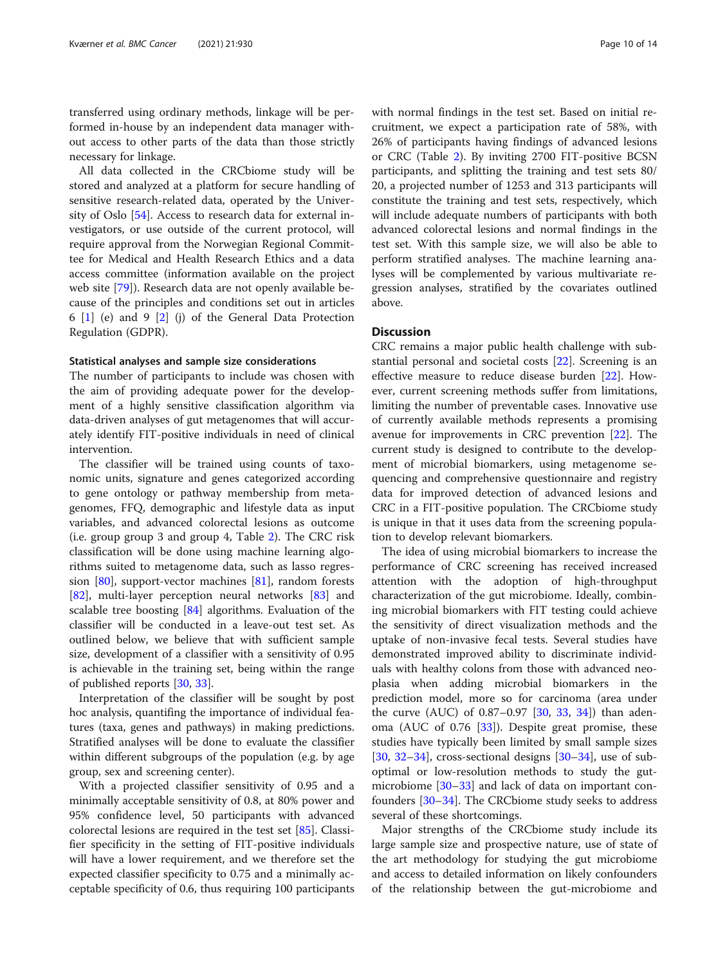transferred using ordinary methods, linkage will be performed in-house by an independent data manager without access to other parts of the data than those strictly necessary for linkage.

All data collected in the CRCbiome study will be stored and analyzed at a platform for secure handling of sensitive research-related data, operated by the University of Oslo [\[54](#page-13-0)]. Access to research data for external investigators, or use outside of the current protocol, will require approval from the Norwegian Regional Committee for Medical and Health Research Ethics and a data access committee (information available on the project web site [\[79](#page-13-0)]). Research data are not openly available because of the principles and conditions set out in articles 6  $[1]$  $[1]$  $[1]$  (e) and 9  $[2]$  $[2]$  $[2]$  (j) of the General Data Protection Regulation (GDPR).

#### Statistical analyses and sample size considerations

The number of participants to include was chosen with the aim of providing adequate power for the development of a highly sensitive classification algorithm via data-driven analyses of gut metagenomes that will accurately identify FIT-positive individuals in need of clinical intervention.

The classifier will be trained using counts of taxonomic units, signature and genes categorized according to gene ontology or pathway membership from metagenomes, FFQ, demographic and lifestyle data as input variables, and advanced colorectal lesions as outcome (i.e. group group 3 and group 4, Table [2\)](#page-4-0). The CRC risk classification will be done using machine learning algorithms suited to metagenome data, such as lasso regression [[80](#page-13-0)], support-vector machines [\[81\]](#page-13-0), random forests [[82\]](#page-13-0), multi-layer perception neural networks [\[83\]](#page-13-0) and scalable tree boosting [\[84](#page-13-0)] algorithms. Evaluation of the classifier will be conducted in a leave-out test set. As outlined below, we believe that with sufficient sample size, development of a classifier with a sensitivity of 0.95 is achievable in the training set, being within the range of published reports [\[30,](#page-12-0) [33\]](#page-12-0).

Interpretation of the classifier will be sought by post hoc analysis, quantifing the importance of individual features (taxa, genes and pathways) in making predictions. Stratified analyses will be done to evaluate the classifier within different subgroups of the population (e.g. by age group, sex and screening center).

With a projected classifier sensitivity of 0.95 and a minimally acceptable sensitivity of 0.8, at 80% power and 95% confidence level, 50 participants with advanced colorectal lesions are required in the test set [\[85\]](#page-13-0). Classifier specificity in the setting of FIT-positive individuals will have a lower requirement, and we therefore set the expected classifier specificity to 0.75 and a minimally acceptable specificity of 0.6, thus requiring 100 participants with normal findings in the test set. Based on initial recruitment, we expect a participation rate of 58%, with 26% of participants having findings of advanced lesions or CRC (Table [2\)](#page-4-0). By inviting 2700 FIT-positive BCSN participants, and splitting the training and test sets 80/ 20, a projected number of 1253 and 313 participants will constitute the training and test sets, respectively, which will include adequate numbers of participants with both advanced colorectal lesions and normal findings in the test set. With this sample size, we will also be able to perform stratified analyses. The machine learning analyses will be complemented by various multivariate regression analyses, stratified by the covariates outlined above.

### **Discussion**

CRC remains a major public health challenge with substantial personal and societal costs [\[22\]](#page-12-0). Screening is an effective measure to reduce disease burden [[22\]](#page-12-0). However, current screening methods suffer from limitations, limiting the number of preventable cases. Innovative use of currently available methods represents a promising avenue for improvements in CRC prevention [[22\]](#page-12-0). The current study is designed to contribute to the development of microbial biomarkers, using metagenome sequencing and comprehensive questionnaire and registry data for improved detection of advanced lesions and CRC in a FIT-positive population. The CRCbiome study is unique in that it uses data from the screening population to develop relevant biomarkers.

The idea of using microbial biomarkers to increase the performance of CRC screening has received increased attention with the adoption of high-throughput characterization of the gut microbiome. Ideally, combining microbial biomarkers with FIT testing could achieve the sensitivity of direct visualization methods and the uptake of non-invasive fecal tests. Several studies have demonstrated improved ability to discriminate individuals with healthy colons from those with advanced neoplasia when adding microbial biomarkers in the prediction model, more so for carcinoma (area under the curve (AUC) of 0.87–0.97 [[30,](#page-12-0) [33,](#page-12-0) [34](#page-12-0)]) than adenoma (AUC of 0.76 [[33\]](#page-12-0)). Despite great promise, these studies have typically been limited by small sample sizes [[30,](#page-12-0) [32](#page-12-0)-[34\]](#page-12-0), cross-sectional designs  $[30-34]$  $[30-34]$  $[30-34]$  $[30-34]$  $[30-34]$ , use of suboptimal or low-resolution methods to study the gutmicrobiome [\[30](#page-12-0)–[33](#page-12-0)] and lack of data on important confounders [[30](#page-12-0)–[34](#page-12-0)]. The CRCbiome study seeks to address several of these shortcomings.

Major strengths of the CRCbiome study include its large sample size and prospective nature, use of state of the art methodology for studying the gut microbiome and access to detailed information on likely confounders of the relationship between the gut-microbiome and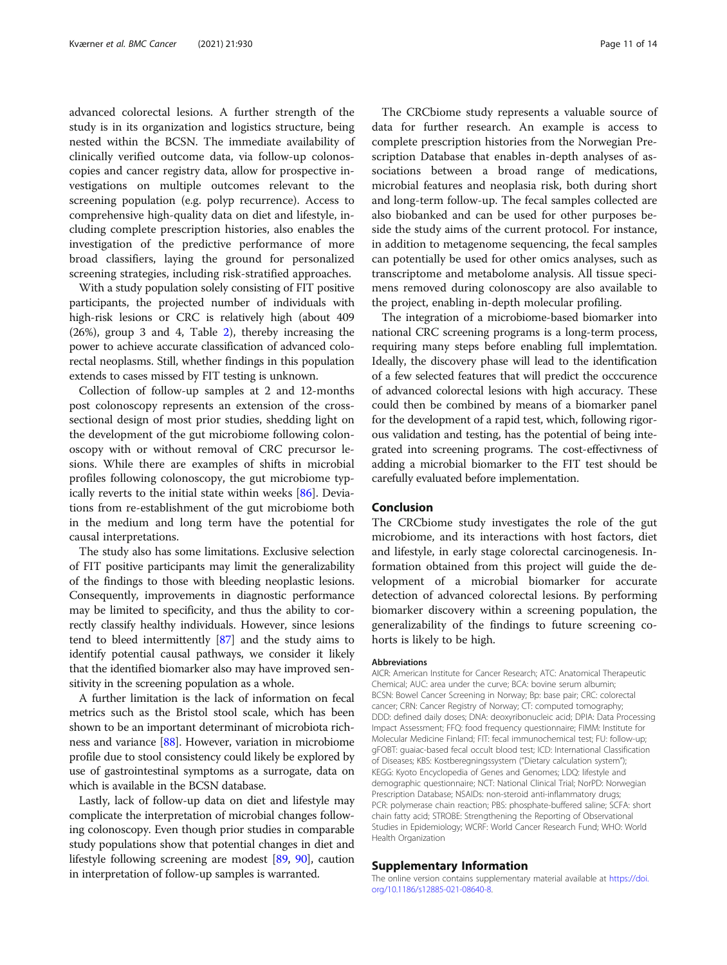advanced colorectal lesions. A further strength of the study is in its organization and logistics structure, being nested within the BCSN. The immediate availability of clinically verified outcome data, via follow-up colonoscopies and cancer registry data, allow for prospective investigations on multiple outcomes relevant to the screening population (e.g. polyp recurrence). Access to comprehensive high-quality data on diet and lifestyle, including complete prescription histories, also enables the investigation of the predictive performance of more broad classifiers, laying the ground for personalized screening strategies, including risk-stratified approaches.

With a study population solely consisting of FIT positive participants, the projected number of individuals with high-risk lesions or CRC is relatively high (about 409 (26%), group 3 and 4, Table [2\)](#page-4-0), thereby increasing the power to achieve accurate classification of advanced colorectal neoplasms. Still, whether findings in this population extends to cases missed by FIT testing is unknown.

Collection of follow-up samples at 2 and 12-months post colonoscopy represents an extension of the crosssectional design of most prior studies, shedding light on the development of the gut microbiome following colonoscopy with or without removal of CRC precursor lesions. While there are examples of shifts in microbial profiles following colonoscopy, the gut microbiome typically reverts to the initial state within weeks [[86\]](#page-13-0). Deviations from re-establishment of the gut microbiome both in the medium and long term have the potential for causal interpretations.

The study also has some limitations. Exclusive selection of FIT positive participants may limit the generalizability of the findings to those with bleeding neoplastic lesions. Consequently, improvements in diagnostic performance may be limited to specificity, and thus the ability to correctly classify healthy individuals. However, since lesions tend to bleed intermittently [[87](#page-13-0)] and the study aims to identify potential causal pathways, we consider it likely that the identified biomarker also may have improved sensitivity in the screening population as a whole.

A further limitation is the lack of information on fecal metrics such as the Bristol stool scale, which has been shown to be an important determinant of microbiota richness and variance [\[88\]](#page-13-0). However, variation in microbiome profile due to stool consistency could likely be explored by use of gastrointestinal symptoms as a surrogate, data on which is available in the BCSN database.

Lastly, lack of follow-up data on diet and lifestyle may complicate the interpretation of microbial changes following colonoscopy. Even though prior studies in comparable study populations show that potential changes in diet and lifestyle following screening are modest [\[89,](#page-13-0) [90\]](#page-13-0), caution in interpretation of follow-up samples is warranted.

The CRCbiome study represents a valuable source of data for further research. An example is access to complete prescription histories from the Norwegian Prescription Database that enables in-depth analyses of associations between a broad range of medications, microbial features and neoplasia risk, both during short and long-term follow-up. The fecal samples collected are also biobanked and can be used for other purposes beside the study aims of the current protocol. For instance, in addition to metagenome sequencing, the fecal samples can potentially be used for other omics analyses, such as transcriptome and metabolome analysis. All tissue specimens removed during colonoscopy are also available to the project, enabling in-depth molecular profiling.

The integration of a microbiome-based biomarker into national CRC screening programs is a long-term process, requiring many steps before enabling full implemtation. Ideally, the discovery phase will lead to the identification of a few selected features that will predict the occcurence of advanced colorectal lesions with high accuracy. These could then be combined by means of a biomarker panel for the development of a rapid test, which, following rigorous validation and testing, has the potential of being integrated into screening programs. The cost-effectivness of adding a microbial biomarker to the FIT test should be carefully evaluated before implementation.

#### Conclusion

The CRCbiome study investigates the role of the gut microbiome, and its interactions with host factors, diet and lifestyle, in early stage colorectal carcinogenesis. Information obtained from this project will guide the development of a microbial biomarker for accurate detection of advanced colorectal lesions. By performing biomarker discovery within a screening population, the generalizability of the findings to future screening cohorts is likely to be high.

#### Abbreviations

AICR: American Institute for Cancer Research; ATC: Anatomical Therapeutic Chemical; AUC: area under the curve; BCA: bovine serum albumin; BCSN: Bowel Cancer Screening in Norway; Bp: base pair; CRC: colorectal cancer; CRN: Cancer Registry of Norway; CT: computed tomography; DDD: defined daily doses; DNA: deoxyribonucleic acid; DPIA: Data Processing Impact Assessment; FFQ: food frequency questionnaire; FIMM: Institute for Molecular Medicine Finland; FIT: fecal immunochemical test; FU: follow-up; gFOBT: guaiac-based fecal occult blood test; ICD: International Classification of Diseases; KBS: Kostberegningssystem ("Dietary calculation system"); KEGG: Kyoto Encyclopedia of Genes and Genomes; LDQ: lifestyle and demographic questionnaire; NCT: National Clinical Trial; NorPD: Norwegian Prescription Database; NSAIDs: non-steroid anti-inflammatory drugs; PCR: polymerase chain reaction; PBS: phosphate-buffered saline; SCFA: short chain fatty acid; STROBE: Strengthening the Reporting of Observational Studies in Epidemiology; WCRF: World Cancer Research Fund; WHO: World Health Organization

#### Supplementary Information

The online version contains supplementary material available at [https://doi.](https://doi.org/10.1186/s12885-021-08640-8) [org/10.1186/s12885-021-08640-8.](https://doi.org/10.1186/s12885-021-08640-8)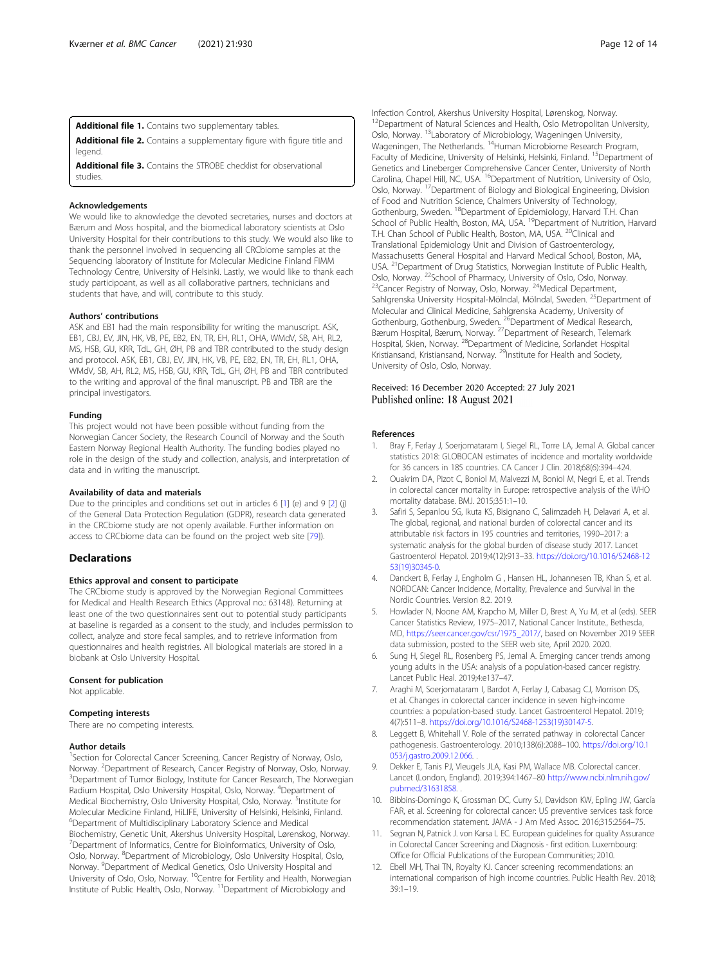<span id="page-11-0"></span>Additional file 1. Contains two supplementary tables.

Additional file 2. Contains a supplementary figure with figure title and legend

Additional file 3. Contains the STROBE checklist for observational studies.

#### Acknowledgements

We would like to aknowledge the devoted secretaries, nurses and doctors at Bærum and Moss hospital, and the biomedical laboratory scientists at Oslo University Hospital for their contributions to this study. We would also like to thank the personnel involved in sequencing all CRCbiome samples at the Sequencing laboratory of Institute for Molecular Medicine Finland FIMM Technology Centre, University of Helsinki. Lastly, we would like to thank each study participoant, as well as all collaborative partners, technicians and students that have, and will, contribute to this study.

#### Authors' contributions

ASK and EB1 had the main responsibility for writing the manuscript. ASK, EB1, CBJ, EV, JIN, HK, VB, PE, EB2, EN, TR, EH, RL1, OHA, WMdV, SB, AH, RL2, MS, HSB, GU, KRR, TdL, GH, ØH, PB and TBR contributed to the study design and protocol. ASK, EB1, CBJ, EV, JIN, HK, VB, PE, EB2, EN, TR, EH, RL1, OHA, WMdV, SB, AH, RL2, MS, HSB, GU, KRR, TdL, GH, ØH, PB and TBR contributed to the writing and approval of the final manuscript. PB and TBR are the principal investigators.

#### Funding

This project would not have been possible without funding from the Norwegian Cancer Society, the Research Council of Norway and the South Eastern Norway Regional Health Authority. The funding bodies played no role in the design of the study and collection, analysis, and interpretation of data and in writing the manuscript.

#### Availability of data and materials

Due to the principles and conditions set out in articles 6 [1] (e) and 9 [2] (j) of the General Data Protection Regulation (GDPR), research data generated in the CRCbiome study are not openly available. Further information on access to CRCbiome data can be found on the project web site [[79\]](#page-13-0)).

#### **Declarations**

#### Ethics approval and consent to participate

The CRCbiome study is approved by the Norwegian Regional Committees for Medical and Health Research Ethics (Approval no.: 63148). Returning at least one of the two questionnaires sent out to potential study participants at baseline is regarded as a consent to the study, and includes permission to collect, analyze and store fecal samples, and to retrieve information from questionnaires and health registries. All biological materials are stored in a biobank at Oslo University Hospital.

#### Consent for publication

Not applicable.

#### Competing interests

There are no competing interests.

#### Author details

<sup>1</sup>Section for Colorectal Cancer Screening, Cancer Registry of Norway, Oslo, Norway. <sup>2</sup> Department of Research, Cancer Registry of Norway, Oslo, Norway.<br><sup>3</sup> Department of Tumor Riology, Institute for Cancer Pesearch, The Norwagia <sup>3</sup>Department of Tumor Biology, Institute for Cancer Research, The Norwegian Radium Hospital, Oslo University Hospital, Oslo, Norway. <sup>4</sup>Department of Medical Biochemistry, Oslo University Hospital, Oslo, Norway. <sup>5</sup>Institute for Molecular Medicine Finland, HiLIFE, University of Helsinki, Helsinki, Finland. 6 Department of Multidisciplinary Laboratory Science and Medical Biochemistry, Genetic Unit, Akershus University Hospital, Lørenskog, Norway. <sup>7</sup>Department of Informatics, Centre for Bioinformatics, University of Oslo, Oslo, Norway. <sup>8</sup>Department of Microbiology, Oslo University Hospital, Oslo, Norway. <sup>9</sup>Department of Medical Genetics, Oslo University Hospital and University of Oslo, Oslo, Norway. 10Centre for Fertility and Health, Norwegian Institute of Public Health, Oslo, Norway.<sup>11</sup> Department of Microbiology and

Infection Control, Akershus University Hospital, Lørenskog, Norway. <sup>12</sup>Department of Natural Sciences and Health, Oslo Metropolitan University, Oslo, Norway. 13Laboratory of Microbiology, Wageningen University, Wageningen, The Netherlands. <sup>14</sup>Human Microbiome Research Program, Faculty of Medicine, University of Helsinki, Helsinki, Finland. <sup>15</sup>Department of Genetics and Lineberger Comprehensive Cancer Center, University of North Carolina, Chapel Hill, NC, USA. <sup>16</sup>Department of Nutrition, University of Oslo, Oslo, Norway. 17Department of Biology and Biological Engineering, Division of Food and Nutrition Science, Chalmers University of Technology, Gothenburg, Sweden. <sup>18</sup>Department of Epidemiology, Harvard T.H. Chan School of Public Health, Boston, MA, USA. <sup>19</sup>Department of Nutrition. Harvard T.H. Chan School of Public Health, Boston, MA, USA. <sup>20</sup>Clinical and Translational Epidemiology Unit and Division of Gastroenterology, Massachusetts General Hospital and Harvard Medical School, Boston, MA, USA. <sup>21</sup> Department of Drug Statistics, Norwegian Institute of Public Health, Oslo, Norway. <sup>22</sup>School of Pharmacy, University of Oslo, Oslo, Norway.<br><sup>23</sup>Cancer Registry of Norway, Oslo, Norway. <sup>24</sup>Medical Department, Sahlgrenska University Hospital-Mölndal, Mölndal, Sweden. 25Department of Molecular and Clinical Medicine, Sahlgrenska Academy, University of<br>Gothenburg, Gothenburg, Sweden. <sup>26</sup>Department of Medical Research, Bærum Hospital, Bærum, Norway. 27Department of Research, Telemark Hospital, Skien, Norway. 28Department of Medicine, Sorlandet Hospital Kristiansand, Kristiansand, Norway. <sup>29</sup>Institute for Health and Society, University of Oslo, Oslo, Norway.

#### Received: 16 December 2020 Accepted: 27 July 2021 Published online: 18 August 2021

#### References

- 1. Bray F, Ferlay J, Soerjomataram I, Siegel RL, Torre LA, Jemal A. Global cancer statistics 2018: GLOBOCAN estimates of incidence and mortality worldwide for 36 cancers in 185 countries. CA Cancer J Clin. 2018;68(6):394–424.
- 2. Ouakrim DA, Pizot C, Boniol M, Malvezzi M, Boniol M, Negri E, et al. Trends in colorectal cancer mortality in Europe: retrospective analysis of the WHO mortality database. BMJ. 2015;351:1–10.
- 3. Safiri S, Sepanlou SG, Ikuta KS, Bisignano C, Salimzadeh H, Delavari A, et al. The global, regional, and national burden of colorectal cancer and its attributable risk factors in 195 countries and territories, 1990–2017: a systematic analysis for the global burden of disease study 2017. Lancet Gastroenterol Hepatol. 2019;4(12):913–33. [https://doi.org/10.1016/S2468-12](https://doi.org/10.1016/S2468-1253(19)30345-0) [53\(19\)30345-0.](https://doi.org/10.1016/S2468-1253(19)30345-0)
- 4. Danckert B, Ferlay J, Engholm G , Hansen HL, Johannesen TB, Khan S, et al. NORDCAN: Cancer Incidence, Mortality, Prevalence and Survival in the Nordic Countries. Version 8.2. 2019.
- 5. Howlader N, Noone AM, Krapcho M, Miller D, Brest A, Yu M, et al (eds). SEER Cancer Statistics Review, 1975–2017, National Cancer Institute., Bethesda, MD, [https://seer.cancer.gov/csr/1975\\_2017/](https://seer.cancer.gov/csr/1975_2017/), based on November 2019 SEER data submission, posted to the SEER web site, April 2020. 2020.
- Sung H, Siegel RL, Rosenberg PS, Jemal A. Emerging cancer trends among young adults in the USA: analysis of a population-based cancer registry. Lancet Public Heal. 2019;4:e137–47.
- 7. Araghi M, Soerjomataram I, Bardot A, Ferlay J, Cabasag CJ, Morrison DS, et al. Changes in colorectal cancer incidence in seven high-income countries: a population-based study. Lancet Gastroenterol Hepatol. 2019; 4(7):511–8. [https://doi.org/10.1016/S2468-1253\(19\)30147-5.](https://doi.org/10.1016/S2468-1253(19)30147-5)
- Leggett B, Whitehall V. Role of the serrated pathway in colorectal Cancer pathogenesis. Gastroenterology. 2010;138(6):2088–100. [https://doi.org/10.1](https://doi.org/10.1053/j.gastro.2009.12.066) [053/j.gastro.2009.12.066.](https://doi.org/10.1053/j.gastro.2009.12.066) .
- 9. Dekker E, Tanis PJ, Vleugels JLA, Kasi PM, Wallace MB. Colorectal cancer. Lancet (London, England). 2019;394:1467–80 [http://www.ncbi.nlm.nih.gov/](http://www.ncbi.nlm.nih.gov/pubmed/31631858) [pubmed/31631858.](http://www.ncbi.nlm.nih.gov/pubmed/31631858) .
- 10. Bibbins-Domingo K, Grossman DC, Curry SJ, Davidson KW, Epling JW, García FAR, et al. Screening for colorectal cancer: US preventive services task force recommendation statement. JAMA - J Am Med Assoc. 2016;315:2564–75.
- 11. Segnan N, Patnick J. von Karsa L EC. European guidelines for quality Assurance in Colorectal Cancer Screening and Diagnosis - first edition. Luxembourg: Office for Official Publications of the European Communities; 2010.
- 12. Ebell MH, Thai TN, Royalty KJ. Cancer screening recommendations: an international comparison of high income countries. Public Health Rev. 2018; 39:1–19.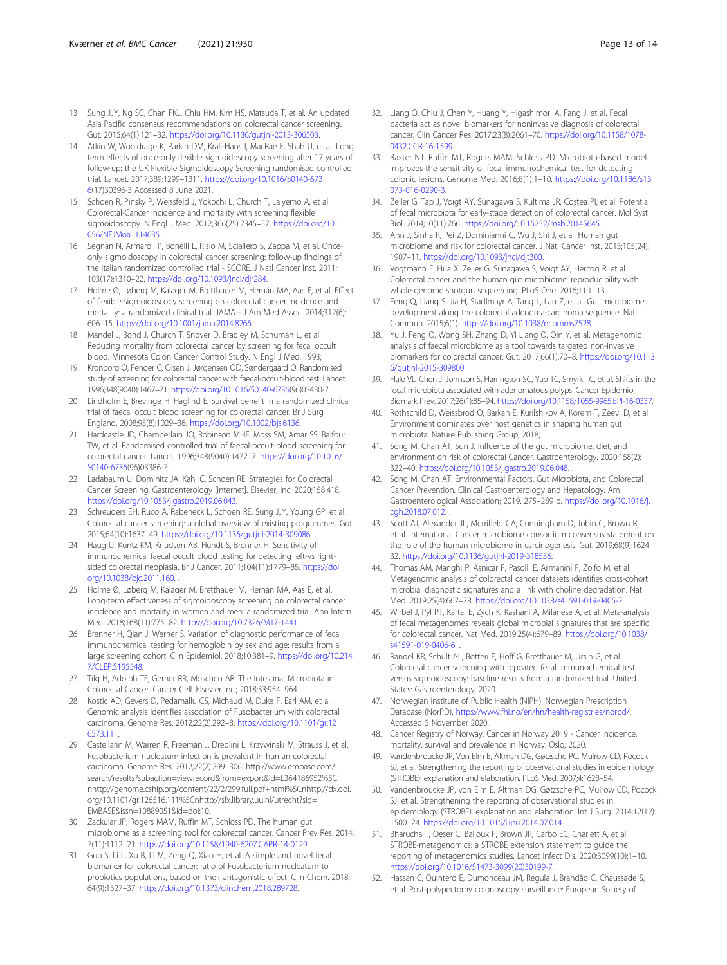- <span id="page-12-0"></span>13. Sung JJY, Ng SC, Chan FKL, Chiu HM, Kim HS, Matsuda T, et al. An updated Asia Pacific consensus recommendations on colorectal cancer screening. Gut. 2015;64(1):121–32. <https://doi.org/10.1136/gutjnl-2013-306503>.
- 14. Atkin W, Wooldrage K, Parkin DM, Kralj-Hans I, MacRae E, Shah U, et al. Long term effects of once-only flexible sigmoidoscopy screening after 17 years of follow-up: the UK Flexible Sigmoidoscopy Screening randomised controlled trial. Lancet. 2017;389:1299–1311. [https://doi.org/10.1016/S0140-673](https://doi.org/10.1016/S0140-6736) [6](https://doi.org/10.1016/S0140-6736)(17)30396-3 Accessed 8 June 2021.
- 15. Schoen R, Pinsky P, Weissfeld J, Yokochi L, Church T, Laiyemo A, et al. Colorectal-Cancer incidence and mortality with screening flexible sigmoidoscopy. N Engl J Med. 2012;366(25):2345–57. [https://doi.org/10.1](https://doi.org/10.1056/NEJMoa1114635) [056/NEJMoa1114635.](https://doi.org/10.1056/NEJMoa1114635)
- 16. Segnan N, Armaroli P, Bonelli L, Risio M, Sciallero S, Zappa M, et al. Onceonly sigmoidoscopy in colorectal cancer screening: follow-up findings of the italian randomized controlled trial - SCORE. J Natl Cancer Inst. 2011; 103(17):1310–22. <https://doi.org/10.1093/jnci/djr284>.
- 17. Holme Ø, Løberg M, Kalager M, Bretthauer M, Hernán MA, Aas E, et al. Effect of flexible sigmoidoscopy screening on colorectal cancer incidence and mortality: a randomized clinical trial. JAMA - J Am Med Assoc. 2014;312(6): 606–15. <https://doi.org/10.1001/jama.2014.8266>.
- 18. Mandel J, Bond J, Church T, Snover D, Bradley M, Schuman L, et al. Reducing mortality from colorectal cancer by screening for fecal occult blood. Minnesota Colon Cancer Control Study. N Engl J Med. 1993;
- 19. Kronborg O, Fenger C, Olsen J, Jørgensen OD, Søndergaard O. Randomised study of screening for colorectal cancer with faecal-occult-blood test. Lancet. 1996;348(9040):1467–71. <https://doi.org/10.1016/S0140-6736>(96)03430-7. .
- 20. Lindholm E, Brevinge H, Haglind E. Survival benefit in a randomized clinical trial of faecal occult blood screening for colorectal cancer. Br J Surg England. 2008;95(8):1029–36. [https://doi.org/10.1002/bjs.6136.](https://doi.org/10.1002/bjs.6136)
- 21. Hardcastle JD, Chamberlain JO, Robinson MHE, Moss SM, Amar SS, Balfour TW, et al. Randomised controlled trial of faecal-occult-blood screening for colorectal cancer. Lancet. 1996;348(9040):1472–7. [https://doi.org/10.1016/](https://doi.org/10.1016/S0140-6736) [S0140-6736](https://doi.org/10.1016/S0140-6736)(96)03386-7.
- 22. Ladabaum U, Dominitz JA, Kahi C, Schoen RE. Strategies for Colorectal Cancer Screening. Gastroenterology [Internet]. Elsevier, Inc; 2020;158:418. <https://doi.org/10.1053/j.gastro.2019.06.043>. .
- 23. Schreuders EH, Ruco A, Rabeneck L, Schoen RE, Sung JJY, Young GP, et al. Colorectal cancer screening: a global overview of existing programmes. Gut. 2015;64(10):1637–49. <https://doi.org/10.1136/gutjnl-2014-309086>.
- 24. Haug U, Kuntz KM, Knudsen AB, Hundt S, Brenner H. Sensitivity of immunochemical faecal occult blood testing for detecting left-vs rightsided colorectal neoplasia. Br J Cancer. 2011;104(11):1779–85. [https://doi.](https://doi.org/10.1038/bjc.2011.160) [org/10.1038/bjc.2011.160.](https://doi.org/10.1038/bjc.2011.160) .
- 25. Holme Ø, Løberg M, Kalager M, Bretthauer M, Hernán MA, Aas E, et al. Long-term effectiveness of sigmoidoscopy screening on colorectal cancer incidence and mortality in women and men: a randomized trial. Ann Intern Med. 2018;168(11):775–82. [https://doi.org/10.7326/M17-1441.](https://doi.org/10.7326/M17-1441)
- 26. Brenner H, Qian J, Werner S. Variation of diagnostic performance of fecal immunochemical testing for hemoglobin by sex and age: results from a large screening cohort. Clin Epidemiol. 2018;10:381–9. [https://doi.org/10.214](https://doi.org/10.2147/CLEP.S155548) [7/CLEP.S155548.](https://doi.org/10.2147/CLEP.S155548)
- 27. Tilg H, Adolph TE, Gerner RR, Moschen AR. The Intestinal Microbiota in Colorectal Cancer. Cancer Cell. Elsevier Inc.; 2018;33:954–964.
- Kostic AD, Gevers D, Pedamallu CS, Michaud M, Duke F, Earl AM, et al. Genomic analysis identifies association of Fusobacterium with colorectal carcinoma. Genome Res. 2012;22(2):292–8. [https://doi.org/10.1101/gr.12](https://doi.org/10.1101/gr.126573.111) [6573.111.](https://doi.org/10.1101/gr.126573.111)
- 29. Castellarin M, Warren R, Freeman J, Dreolini L, Krzywinski M, Strauss J, et al. Fusobacterium nucleatum infection is prevalent in human colorectal carcinoma. Genome Res. 2012;22(2):299–306. http://www.embase.com/ search/results?subaction=viewrecord&from=export&id=L364186952%5C nhttp://genome.cshlp.org/content/22/2/299.full.pdf+html%5Cnhttp://dx.doi. org/10.1101/gr.126516.111%5Cnhttp://sfx.library.uu.nl/utrecht?sid= EMBASE&issn=10889051&id=doi:10.
- 30. Zackular JP, Rogers MAM, Ruffin MT, Schloss PD. The human gut microbiome as a screening tool for colorectal cancer. Cancer Prev Res. 2014; 7(11):1112–21. [https://doi.org/10.1158/1940-6207.CAPR-14-0129.](https://doi.org/10.1158/1940-6207.CAPR-14-0129)
- 31. Guo S, Li L, Xu B, Li M, Zeng Q, Xiao H, et al. A simple and novel fecal biomarker for colorectal cancer: ratio of Fusobacterium nucleatum to probiotics populations, based on their antagonistic effect. Clin Chem. 2018; 64(9):1327–37. [https://doi.org/10.1373/clinchem.2018.289728.](https://doi.org/10.1373/clinchem.2018.289728)
- 32. Liang Q, Chiu J, Chen Y, Huang Y, Higashimori A, Fang J, et al. Fecal bacteria act as novel biomarkers for noninvasive diagnosis of colorectal cancer. Clin Cancer Res. 2017;23(8):2061–70. [https://doi.org/10.1158/1078-](https://doi.org/10.1158/1078-0432.CCR-16-1599) [0432.CCR-16-1599.](https://doi.org/10.1158/1078-0432.CCR-16-1599)
- 33. Baxter NT, Ruffin MT, Rogers MAM, Schloss PD. Microbiota-based model improves the sensitivity of fecal immunochemical test for detecting colonic lesions. Genome Med. 2016;8(1):1–10. [https://doi.org/10.1186/s13](https://doi.org/10.1186/s13073-016-0290-3) [073-016-0290-3.](https://doi.org/10.1186/s13073-016-0290-3) .
- 34. Zeller G, Tap J, Voigt AY, Sunagawa S, Kultima JR, Costea PI, et al. Potential of fecal microbiota for early-stage detection of colorectal cancer. Mol Syst Biol. 2014;10(11):766. [https://doi.org/10.15252/msb.20145645.](https://doi.org/10.15252/msb.20145645)
- 35. Ahn J, Sinha R, Pei Z, Dominianni C, Wu J, Shi J, et al. Human gut microbiome and risk for colorectal cancer. J Natl Cancer Inst. 2013;105(24): 1907–11. <https://doi.org/10.1093/jnci/djt300>.
- 36. Vogtmann E, Hua X, Zeller G, Sunagawa S, Voigt AY, Hercog R, et al. Colorectal cancer and the human gut microbiome: reproducibility with whole-genome shotgun sequencing. PLoS One. 2016;11:1–13.
- 37. Feng Q, Liang S, Jia H, Stadlmayr A, Tang L, Lan Z, et al. Gut microbiome development along the colorectal adenoma-carcinoma sequence. Nat Commun. 2015;6(1). <https://doi.org/10.1038/ncomms7528>.
- 38. Yu J, Feng Q, Wong SH, Zhang D, Yi Liang Q, Qin Y, et al. Metagenomic analysis of faecal microbiome as a tool towards targeted non-invasive biomarkers for colorectal cancer. Gut. 2017;66(1):70–8. [https://doi.org/10.113](https://doi.org/10.1136/gutjnl-2015-309800) [6/gutjnl-2015-309800](https://doi.org/10.1136/gutjnl-2015-309800).
- 39. Hale VL, Chen J, Johnson S, Harrington SC, Yab TC, Smyrk TC, et al. Shifts in the fecal microbiota associated with adenomatous polyps. Cancer Epidemiol Biomark Prev. 2017;26(1):85–94. <https://doi.org/10.1158/1055-9965.EPI-16-0337>.
- 40. Rothschild D, Weissbrod O, Barkan E, Kurilshikov A, Korem T, Zeevi D, et al. Environment dominates over host genetics in shaping human gut microbiota. Nature Publishing Group; 2018;
- 41. Song M, Chan AT, Sun J. Influence of the gut microbiome, diet, and environment on risk of colorectal Cancer. Gastroenterology. 2020;158(2): 322–40. [https://doi.org/10.1053/j.gastro.2019.06.048.](https://doi.org/10.1053/j.gastro.2019.06.048) .
- 42. Song M, Chan AT. Environmental Factors, Gut Microbiota, and Colorectal Cancer Prevention. Clinical Gastroenterology and Hepatology. Am Gastroenterological Association; 2019. 275–289 p. [https://doi.org/10.1016/j.](https://doi.org/10.1016/j.cgh.2018.07.012) [cgh.2018.07.012.](https://doi.org/10.1016/j.cgh.2018.07.012)
- 43. Scott AJ, Alexander JL, Merrifield CA, Cunningham D, Jobin C, Brown R, et al. International Cancer microbiome consortium consensus statement on the role of the human microbiome in carcinogenesis. Gut. 2019;68(9):1624– 32. [https://doi.org/10.1136/gutjnl-2019-318556.](https://doi.org/10.1136/gutjnl-2019-318556)
- 44. Thomas AM, Manghi P, Asnicar F, Pasolli E, Armanini F, Zolfo M, et al. Metagenomic analysis of colorectal cancer datasets identifies cross-cohort microbial diagnostic signatures and a link with choline degradation. Nat Med. 2019;25(4):667–78. <https://doi.org/10.1038/s41591-019-0405-7>. .
- 45. Wirbel J, Pyl PT, Kartal E, Zych K, Kashani A, Milanese A, et al. Meta-analysis of fecal metagenomes reveals global microbial signatures that are specific for colorectal cancer. Nat Med. 2019;25(4):679–89. [https://doi.org/10.1038/](https://doi.org/10.1038/s41591-019-0406-6) [s41591-019-0406-6.](https://doi.org/10.1038/s41591-019-0406-6)
- 46. Randel KR, Schult AL, Botteri E, Hoff G, Bretthauer M, Ursin G, et al. Colorectal cancer screening with repeated fecal immunochemical test versus sigmoidoscopy: baseline results from a randomized trial. United States: Gastroenterology; 2020.
- 47. Norwegian Institute of Public Health (NIPH). Norwegian Prescription Database (NorPD). <https://www.fhi.no/en/hn/health-registries/norpd/>. Accessed 5 November 2020.
- 48. Cancer Registry of Norway. Cancer in Norway 2019 Cancer incidence, mortality, survival and prevalence in Norway. Oslo; 2020.
- 49. Vandenbroucke JP, Von Elm E, Altman DG, Gøtzsche PC, Mulrow CD, Pocock SJ, et al. Strengthening the reporting of observational studies in epidemiology (STROBE): explanation and elaboration. PLoS Med. 2007;4:1628–54.
- 50. Vandenbroucke JP, von Elm E, Altman DG, Gøtzsche PC, Mulrow CD, Pocock SJ, et al. Strengthening the reporting of observational studies in epidemiology (STROBE): explanation and elaboration. Int J Surg. 2014;12(12): 1500–24. [https://doi.org/10.1016/j.ijsu.2014.07.014.](https://doi.org/10.1016/j.ijsu.2014.07.014)
- 51. Bharucha T, Oeser C, Balloux F, Brown JR, Carbo EC, Charlett A, et al. STROBE-metagenomics: a STROBE extension statement to guide the reporting of metagenomics studies. Lancet Infect Dis. 2020;3099(10):1–10. [https://doi.org/10.1016/S1473-3099\(20\)30199-7.](https://doi.org/10.1016/S1473-3099(20)30199-7)
- 52. Hassan C, Quintero E, Dumonceau JM, Regula J, Brandão C, Chaussade S, et al. Post-polypectomy colonoscopy surveillance: European Society of